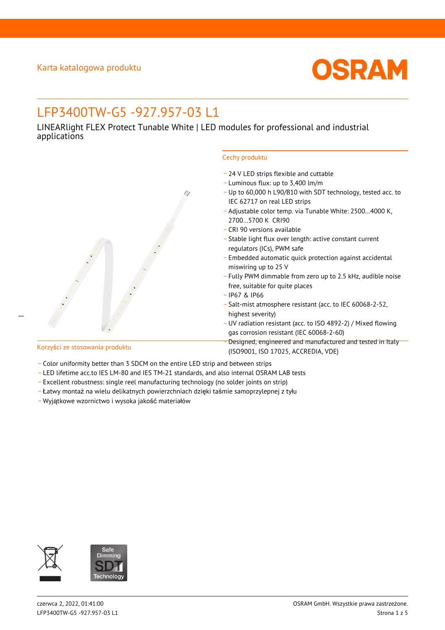

# LFP3400TW-G5 -927.957-03 L1

LINEARlight FLEX Protect Tunable White | LED modules for professional and industrial applications



- \_ 24 V LED strips flexible and cuttable
- \_ Luminous flux: up to 3,400 lm/m
- \_ Up to 60,000 h L90/B10 with SDT technology, tested acc. to IEC 62717 on real LED strips
- \_ Adjustable color temp. via Tunable White: 2500…4000 K, 2700…5700 K CRI90
- \_ CRI 90 versions available
- \_ Stable light flux over length: active constant current regulators (ICs), PWM safe
- \_ Embedded automatic quick protection against accidental miswiring up to 25 V
- \_ Fully PWM dimmable from zero up to 2.5 kHz, audible noise free, suitable for quite places
- \_ IP67 & IP66
- \_ Salt-mist atmosphere resistant (acc. to IEC 60068-2-52, highest severity)
- \_ UV radiation resistant (acc. to ISO 4892-2) / Mixed flowing gas corrosion resistant (IEC 60068-2-60)
- \_ Designed, engineered and manufactured and tested in Italy (ISO9001, ISO 17025, ACCREDIA, VDE)

 $\overline{a}$ 

- Korzyści ze stosowania produktu
- Color uniformity better than 3 SDCM on the entire LED strip and between strips
- \_ LED lifetime acc.to IES LM-80 and IES TM-21 standards, and also internal OSRAM LAB tests
- \_ Excellent robustness: single reel manufacturing technology (no solder joints on strip)
- \_ Łatwy montaż na wielu delikatnych powierzchniach dzięki taśmie samoprzylepnej z tyłu
- \_ Wyjątkowe wzornictwo i wysoka jakość materiałów

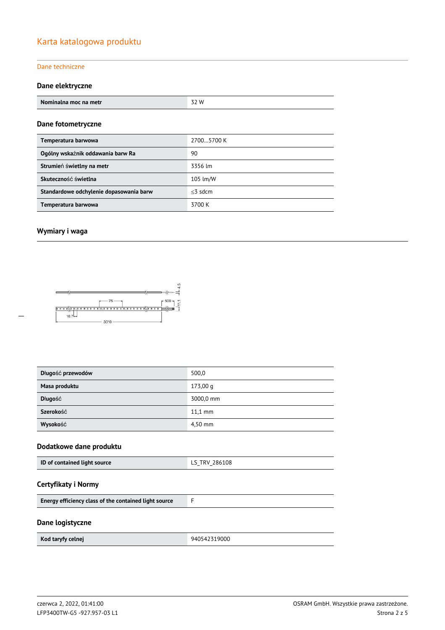## Karta katalogowa produktu

#### Dane techniczne

### **Dane elektryczne**

| Nominalna moc na metr | 32 W |  |  |
|-----------------------|------|--|--|
|                       |      |  |  |
| Dane fotometryczne    |      |  |  |

| Temperatura barwowa                     | 27005700 K |
|-----------------------------------------|------------|
| Ogólny wskaźnik oddawania barw Ra       | 90         |
| Strumień świetlny na metr               | 3356 lm    |
| Skuteczność świetlna                    | 105 lm/W   |
| Standardowe odchylenie dopasowania barw | $<$ 3 sdcm |
| Temperatura barwowa                     | 3700 K     |

### **Wymiary i waga**



| Długość przewodów | 500,0     |
|-------------------|-----------|
| Masa produktu     | 173,00q   |
| Długość           | 3000,0 mm |
| Szerokość         | $11.1$ mm |
| Wysokość          | 4,50 mm   |

### **Dodatkowe dane produktu**

| ID of contained light source | LS TRV 286108<br>$-$<br>$\sim$ |
|------------------------------|--------------------------------|
|------------------------------|--------------------------------|

### **Certyfikaty i Normy**

### **Dane logistyczne**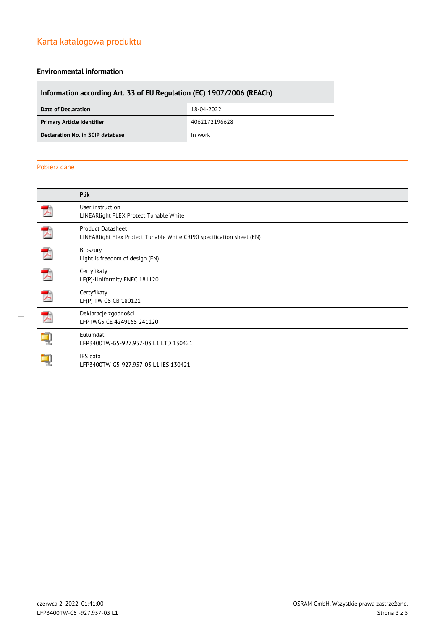## Karta katalogowa produktu

#### **Environmental information**

# **Information according Art. 33 of EU Regulation (EC) 1907/2006 (REACh)**

| Date of Declaration               | 18-04-2022    |
|-----------------------------------|---------------|
| <b>Primary Article Identifier</b> | 4062172196628 |
| Declaration No. in SCIP database  | In work       |

#### Pobierz dane

| <b>Plik</b>                                                                                       |
|---------------------------------------------------------------------------------------------------|
| User instruction<br>LINEARlight FLEX Protect Tunable White                                        |
| <b>Product Datasheet</b><br>LINEARlight Flex Protect Tunable White CRI90 specification sheet (EN) |
| Broszury<br>Light is freedom of design (EN)                                                       |
| Certyfikaty<br>LF(P)-Uniformity ENEC 181120                                                       |
| Certyfikaty<br>LF(P) TW G5 CB 180121                                                              |
| Deklaracje zgodności<br>LFPTWG5 CE 4249165 241120                                                 |
| Eulumdat<br>LFP3400TW-G5-927.957-03 L1 LTD 130421                                                 |
| IES data<br>LFP3400TW-G5-927.957-03 L1 IES 130421                                                 |
|                                                                                                   |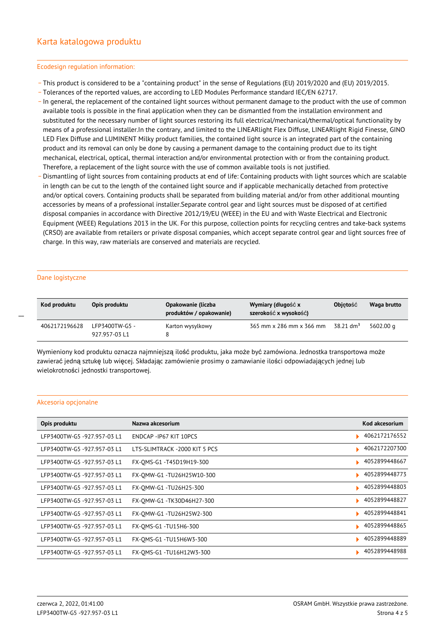#### Ecodesign regulation information:

- \_ This product is considered to be a "containing product" in the sense of Regulations (EU) 2019/2020 and (EU) 2019/2015.
- \_ Tolerances of the reported values, are according to LED Modules Performance standard IEC/EN 62717.
- \_ In general, the replacement of the contained light sources without permanent damage to the product with the use of common available tools is possible in the final application when they can be dismantled from the installation environment and substituted for the necessary number of light sources restoring its full electrical/mechanical/thermal/optical functionality by means of a professional installer.In the contrary, and limited to the LINEARlight Flex Diffuse, LINEARlight Rigid Finesse, GINO LED Flex Diffuse and LUMINENT Milky product families, the contained light source is an integrated part of the containing product and its removal can only be done by causing a permanent damage to the containing product due to its tight mechanical, electrical, optical, thermal interaction and/or environmental protection with or from the containing product. Therefore, a replacement of the light source with the use of common available tools is not justified.
- Dismantling of light sources from containing products at end of life: Containing products with light sources which are scalable in length can be cut to the length of the contained light source and if applicable mechanically detached from protective and/or optical covers. Containing products shall be separated from building material and/or from other additional mounting accessories by means of a professional installer.Separate control gear and light sources must be disposed of at certified disposal companies in accordance with Directive 2012/19/EU (WEEE) in the EU and with Waste Electrical and Electronic Equipment (WEEE) Regulations 2013 in the UK. For this purpose, collection points for recycling centres and take-back systems (CRSO) are available from retailers or private disposal companies, which accept separate control gear and light sources free of charge. In this way, raw materials are conserved and materials are recycled.

#### Dane logistyczne

 $\overline{a}$ 

| Kod produktu  | Opis produktu                   | Opakowanie (liczba<br>produktów / opakowanie) | Wymiary (długość x<br>szerokość x wysokość) | <b>Objetość</b>         | Waga brutto |
|---------------|---------------------------------|-----------------------------------------------|---------------------------------------------|-------------------------|-------------|
| 4062172196628 | LFP3400TW-G5 -<br>927.957-03 L1 | Karton wysylkowy                              | 365 mm x 286 mm x 366 mm                    | $38.21$ dm <sup>3</sup> | 5602.00 g   |

Wymieniony kod produktu oznacza najmniejszą ilość produktu, jaka może być zamówiona. Jednostka transportowa może zawierać jedną sztukę lub więcej. Składając zamówienie prosimy o zamawianie ilości odpowiadających jednej lub wielokrotności jednostki transportowej.

#### Akcesoria opcjonalne

| Opis produktu               | Nazwa akcesorium              | Kod akcesorium |
|-----------------------------|-------------------------------|----------------|
| LFP3400TW-G5-927.957-03 L1  | ENDCAP-IP67 KIT 10PCS         | 4062172176552  |
| LFP3400TW-G5-927.957-03L1   | LTS-SLIMTRACK -2000 KIT 5 PCS | 4062172207300  |
| LFP3400TW-G5-927.957-03 L1  | FX-OMS-G1-T45D19H19-300       | 4052899448667  |
| LFP3400TW-G5 -927.957-03 L1 | FX-OMW-G1-TU26H25W10-300      | 4052899448773  |
| LFP3400TW-G5-927.957-03 L1  | FX-OMW-G1 -TU26H25-300        | 4052899448803  |
| LFP3400TW-G5 -927.957-03 L1 | FX-OMW-G1-TK30D46H27-300      | 4052899448827  |
| LFP3400TW-G5 -927.957-03 L1 | FX-OMW-G1-TU26H25W2-300       | 4052899448841  |
| LFP3400TW-G5 -927.957-03 L1 | FX-OMS-G1 -TU15H6-300         | 4052899448865  |
| LFP3400TW-G5 -927.957-03 L1 | FX-OMS-G1 -TU15H6W3-300       | 4052899448889  |
| LFP3400TW-G5 -927.957-03 L1 | FX-OMS-G1 -TU16H12W3-300      | 4052899448988  |